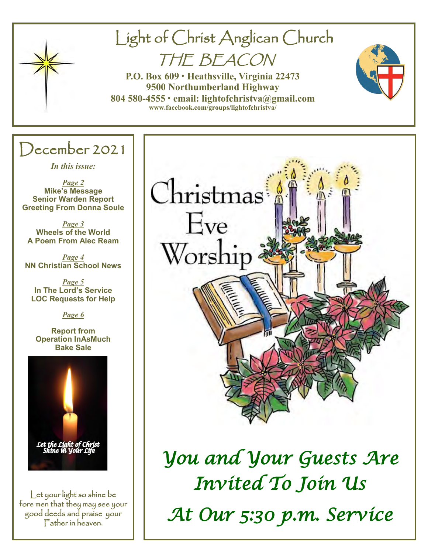

# Light of Christ Anglican Church

THE BEACON

**P.O. Box 609 • Heathsville, Virginia 22473 9500 Northumberland Highway 804 580-4555 • email: lightofchristva@gmail.com [www.facebook.com/groups/lightofchristva/](http://www.facebook.com/groups/lightofchristva/)**

# December 2021

*In this issue:*

*Page 2* **Mike's Message Senior Warden Report Greeting From Donna Soule**

*Page 3* **Wheels of the World A Poem From Alec Ream**

*Page 4* **NN Christian School News**

*Page 5* **In The Lord's Service LOC Requests for Help**

*Page 6*

**Report from Operation InAsMuch Bake Sale**



Let your light so shine be fore men that they may see your good deeds and praise your Father in heaven.



*You and Your Guests Are Invited To Join Us At Our 5:30 p.m. Service*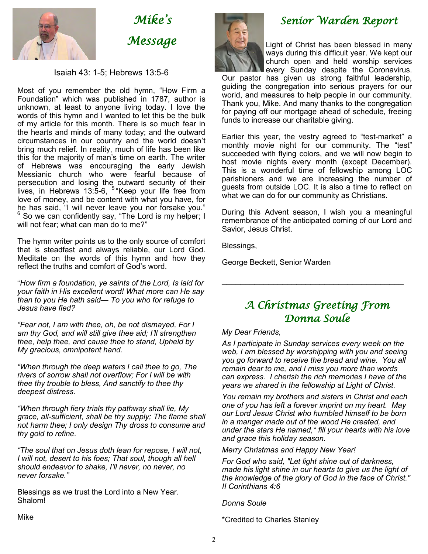

*Mike's Message* 

#### Isaiah 43: 1-5; Hebrews 13:5-6

Most of you remember the old hymn, "How Firm a Foundation" which was published in 1787, author is unknown, at least to anyone living today. I love the words of this hymn and I wanted to let this be the bulk of my article for this month. There is so much fear in the hearts and minds of many today; and the outward circumstances in our country and the world doesn't bring much relief. In reality, much of life has been like this for the majority of man's time on earth. The writer of Hebrews was encouraging the early Jewish Messianic church who were fearful because of persecution and losing the outward security of their lives, in Hebrews 13:5-6, <sup>5</sup> Keep your life free from love of money, and be content with what you have, for he has said, "I will never leave you nor forsake you."  $6$  So we can confidently say, "The Lord is my helper; I will not fear; what can man do to me?"

The hymn writer points us to the only source of comfort that is steadfast and always reliable, our Lord God. Meditate on the words of this hymn and how they reflect the truths and comfort of God's word.

"*How firm a foundation, ye saints of the Lord, Is laid for your faith in His excellent word! What more can He say than to you He hath said— To you who for refuge to Jesus have fled?*

*"Fear not, I am with thee, oh, be not dismayed, For I am thy God, and will still give thee aid; I'll strengthen thee, help thee, and cause thee to stand, Upheld by My gracious, omnipotent hand.*

*"When through the deep waters I call thee to go, The rivers of sorrow shall not overflow; For I will be with thee thy trouble to bless, And sanctify to thee thy deepest distress.*

*"When through fiery trials thy pathway shall lie, My grace, all-sufficient, shall be thy supply; The flame shall not harm thee; I only design Thy dross to consume and thy gold to refine.*

*"The soul that on Jesus doth lean for repose, I will not, I will not, desert to his foes; That soul, though all hell should endeavor to shake, I'll never, no never, no never forsake."*

Blessings as we trust the Lord into a New Year. Shalom!





## *Senior Warden Report*

Light of Christ has been blessed in many ways during this difficult year. We kept our church open and held worship services every Sunday despite the Coronavirus.

Our pastor has given us strong faithful leadership, guiding the congregation into serious prayers for our world, and measures to help people in our community. Thank you, Mike. And many thanks to the congregation for paying off our mortgage ahead of schedule, freeing funds to increase our charitable giving.

Earlier this year, the vestry agreed to "test-market" a monthly movie night for our community. The "test" succeeded with flying colors, and we will now begin to host movie nights every month (except December). This is a wonderful time of fellowship among LOC parishioners and we are increasing the number of guests from outside LOC. It is also a time to reflect on what we can do for our community as Christians.

During this Advent season, I wish you a meaningful remembrance of the anticipated coming of our Lord and Savior, Jesus Christ.

Blessings,

George Beckett, Senior Warden

## *A Christmas Greeting From Donna Soule*

 $\mathcal{L}_\mathcal{L}$  , where  $\mathcal{L}_\mathcal{L}$  is the set of the set of the set of the set of the set of the set of the set of the set of the set of the set of the set of the set of the set of the set of the set of the set of the

#### *My Dear Friends,*

*As I participate in Sunday services every week on the web, I am blessed by worshipping with you and seeing you go forward to receive the bread and wine. You all remain dear to me, and I miss you more than words can express. I cherish the rich memories I have of the years we shared in the fellowship at Light of Christ.* 

*You remain my brothers and sisters in Christ and each one of you has left a forever imprint on my heart. May our Lord Jesus Christ who humbled himself to be born in a manger made out of the wood He created, and under the stars He named,\* fill your hearts with his love and grace this holiday season.* 

*Merry Christmas and Happy New Year!*

*For God who said, "Let light shine out of darkness, made his light shine in our hearts to give us the light of the knowledge of the glory of God in the face of Christ." II Corinthians 4:6*

*Donna Soule*

\*Credited to Charles Stanley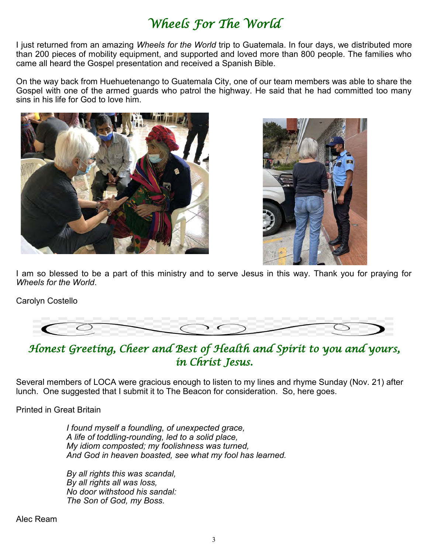## *Wheels For The World*

I just returned from an amazing *Wheels for the World* trip to Guatemala. In four days, we distributed more than 200 pieces of mobility equipment, and supported and loved more than 800 people. The families who came all heard the Gospel presentation and received a Spanish Bible.

On the way back from Huehuetenango to Guatemala City, one of our team members was able to share the Gospel with one of the armed guards who patrol the highway. He said that he had committed too many sins in his life for God to love him.





I am so blessed to be a part of this ministry and to serve Jesus in this way. Thank you for praying for *Wheels for the World*.

Carolyn Costello



*Honest Greeting, Cheer and Best of Health and Spirit to you and yours, in Christ Jesus.* 

Several members of LOCA were gracious enough to listen to my lines and rhyme Sunday (Nov. 21) after lunch. One suggested that I submit it to The Beacon for consideration. So, here goes.

Printed in Great Britain

*I found myself a foundling, of unexpected grace, A life of toddling-rounding, led to a solid place, My idiom composted; my foolishness was turned, And God in heaven boasted, see what my fool has learned.*

*By all rights this was scandal, By all rights all was loss, No door withstood his sandal: The Son of God, my Boss.*

Alec Ream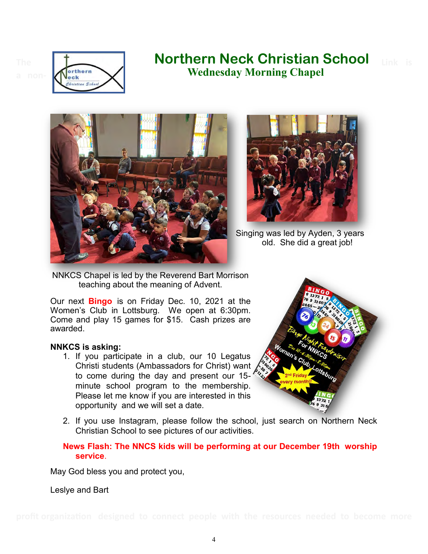



## The **Link is <b>Northern Neck Christian School** Link is  **Wednesday Morning Chapel**





Singing was led by Ayden, 3 years old. She did a great job!

NNKCS Chapel is led by the Reverend Bart Morrison teaching about the meaning of Advent.

Our next **Bingo** is on Friday Dec. 10, 2021 at the Women's Club in Lottsburg. We open at 6:30pm. Come and play 15 games for \$15. Cash prizes are awarded.

#### **NNKCS is asking:**

1. If you participate in a club, our 10 Legatus Christi students (Ambassadors for Christ) want to come during the day and present our 15 minute school program to the membership. Please let me know if you are interested in this opportunity and we will set a date.



2. If you use Instagram, please follow the school, just search on Northern Neck Christian School to see pictures of our activities.

#### **News Flash: The NNCS kids will be performing at our December 19th worship service**.

May God bless you and protect you,

Leslye and Bart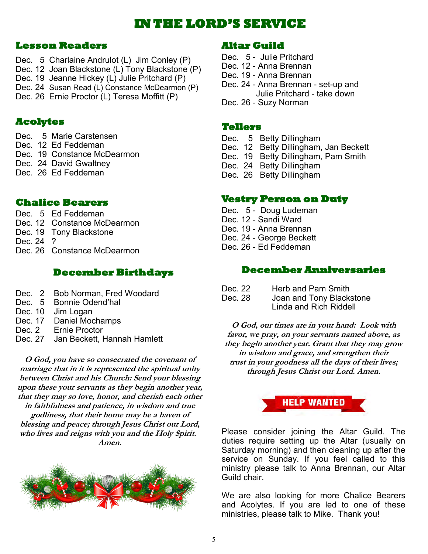## **IN THE LORD'S SERVICE**

### **Lesson Readers**

- Dec. 5 Charlaine Andrulot (L) Jim Conley (P)
- Dec. 12 Joan Blackstone (L) Tony Blackstone (P)
- Dec. 19 Jeanne Hickey (L) Julie Pritchard (P)
- Dec. 24 Susan Read (L) Constance McDearmon (P)
- Dec. 26 Ernie Proctor (L) Teresa Moffitt (P)

## **Acolytes**

- Dec. 5 Marie Carstensen
- Dec. 12 Ed Feddeman
- Dec. 19 Constance McDearmon
- Dec. 24 David Gwaltney
- Dec. 26 Ed Feddeman

## **Chalice Bearers**

- Dec. 5 Ed Feddeman
- Dec. 12 Constance McDearmon
- Dec. 19 Tony Blackstone
- Dec. 24 ?
- Dec. 26 Constance McDearmon

## **December Birthdays**

- Dec. 2 Bob Norman, Fred Woodard
- Dec. 5 Bonnie Odend'hal
- Dec. 10 Jim Logan
- Dec. 17 Daniel Mochamps
- Dec. 2 Ernie Proctor
- Dec. 27 Jan Beckett, Hannah Hamlett

**O God, you have so consecrated the covenant of marriage that in it is represented the spiritual unity between Christ and his Church: Send your blessing upon these your servants as they begin another year, that they may so love, honor, and cherish each other in faithfulness and patience, in wisdom and true godliness, that their home may be a haven of blessing and peace; through Jesus Christ our Lord, who lives and reigns with you and the Holy Spirit. Amen.**



## **Altar Guild**

- Dec. 5 Julie Pritchard Dec. 12 - Anna Brennan Dec. 19 - Anna Brennan Dec. 24 - Anna Brennan - set-up and Julie Pritchard - take down
- Dec. 26 Suzy Norman

### **Tellers**

- Dec. 5 Betty Dillingham
- Dec. 12 Betty Dillingham, Jan Beckett
- Dec. 19 Betty Dillingham, Pam Smith
- Dec. 24 Betty Dillingham
- Dec. 26 Betty Dillingham

## **Vestry Person on Duty**

- Dec. 5 Doug Ludeman
- Dec. 12 Sandi Ward
- Dec. 19 Anna Brennan
- Dec. 24 George Beckett
- Dec. 26 Ed Feddeman

## **December Anniversaries**

| Dec. 22 | Herb and Pam Smith       |
|---------|--------------------------|
| Dec. 28 | Joan and Tony Blackstone |
|         | Linda and Rich Riddell   |

**O God, our times are in your hand: Look with favor, we pray, on your servants named above, as they begin another year. Grant that they may grow in wisdom and grace, and strengthen their trust in your goodness all the days of their lives; through Jesus Christ our Lord. Amen.**



Please consider joining the Altar Guild. The duties require setting up the Altar (usually on Saturday morning) and then cleaning up after the service on Sunday. If you feel called to this ministry please talk to Anna Brennan, our Altar Guild chair.

We are also looking for more Chalice Bearers and Acolytes. If you are led to one of these ministries, please talk to Mike. Thank you!